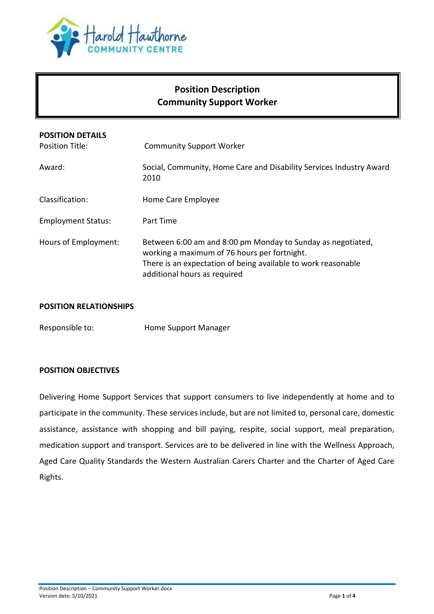

# **Position Description Community Support Worker**

| <b>POSITION DETAILS</b><br>Position Title: | <b>Community Support Worker</b>                                                                                                                                                                              |
|--------------------------------------------|--------------------------------------------------------------------------------------------------------------------------------------------------------------------------------------------------------------|
| Award:                                     | Social, Community, Home Care and Disability Services Industry Award<br>2010                                                                                                                                  |
| Classification:                            | Home Care Employee                                                                                                                                                                                           |
| <b>Employment Status:</b>                  | Part Time                                                                                                                                                                                                    |
| Hours of Employment:                       | Between 6:00 am and 8:00 pm Monday to Sunday as negotiated,<br>working a maximum of 76 hours per fortnight.<br>There is an expectation of being available to work reasonable<br>additional hours as required |

#### **POSITION RELATIONSHIPS**

Responsible to: Home Support Manager

### **POSITION OBJECTIVES**

Delivering Home Support Services that support consumers to live independently at home and to participate in the community. These services include, but are not limited to, personal care, domestic assistance, assistance with shopping and bill paying, respite, social support, meal preparation, medication support and transport. Services are to be delivered in line with the Wellness Approach, Aged Care Quality Standards the Western Australian Carers Charter and the Charter of Aged Care Rights.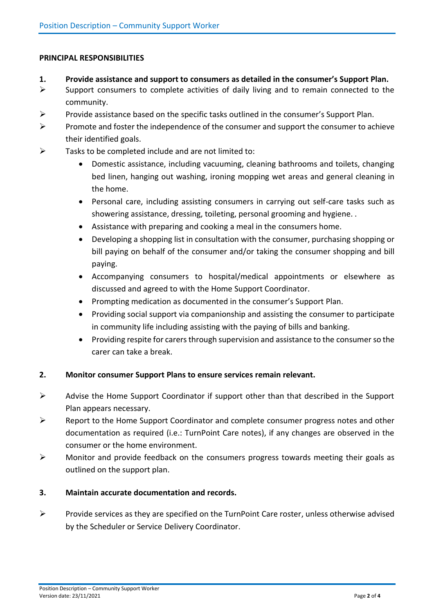### **PRINCIPAL RESPONSIBILITIES**

- **1. Provide assistance and support to consumers as detailed in the consumer's Support Plan.**
- $\triangleright$  Support consumers to complete activities of daily living and to remain connected to the community.
- $\triangleright$  Provide assistance based on the specific tasks outlined in the consumer's Support Plan.
- $\triangleright$  Promote and foster the independence of the consumer and support the consumer to achieve their identified goals.
- $\triangleright$  Tasks to be completed include and are not limited to:
	- Domestic assistance, including vacuuming, cleaning bathrooms and toilets, changing bed linen, hanging out washing, ironing mopping wet areas and general cleaning in the home.
	- Personal care, including assisting consumers in carrying out self-care tasks such as showering assistance, dressing, toileting, personal grooming and hygiene. .
	- Assistance with preparing and cooking a meal in the consumers home.
	- Developing a shopping list in consultation with the consumer, purchasing shopping or bill paying on behalf of the consumer and/or taking the consumer shopping and bill paying.
	- Accompanying consumers to hospital/medical appointments or elsewhere as discussed and agreed to with the Home Support Coordinator.
	- Prompting medication as documented in the consumer's Support Plan.
	- Providing social support via companionship and assisting the consumer to participate in community life including assisting with the paying of bills and banking.
	- Providing respite for carers through supervision and assistance to the consumer so the carer can take a break.

### **2. Monitor consumer Support Plans to ensure services remain relevant.**

- $\triangleright$  Advise the Home Support Coordinator if support other than that described in the Support Plan appears necessary.
- $\triangleright$  Report to the Home Support Coordinator and complete consumer progress notes and other documentation as required (i.e.: TurnPoint Care notes), if any changes are observed in the consumer or the home environment.
- $\triangleright$  Monitor and provide feedback on the consumers progress towards meeting their goals as outlined on the support plan.

### **3. Maintain accurate documentation and records.**

 $\triangleright$  Provide services as they are specified on the TurnPoint Care roster, unless otherwise advised by the Scheduler or Service Delivery Coordinator.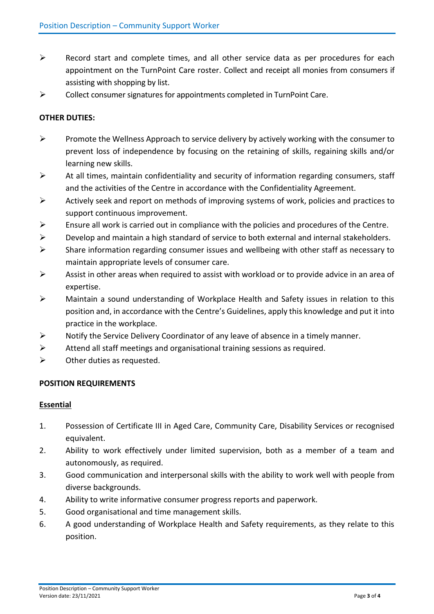- $\triangleright$  Record start and complete times, and all other service data as per procedures for each appointment on the TurnPoint Care roster. Collect and receipt all monies from consumers if assisting with shopping by list.
- $\triangleright$  Collect consumer signatures for appointments completed in TurnPoint Care.

## **OTHER DUTIES:**

- $\triangleright$  Promote the Wellness Approach to service delivery by actively working with the consumer to prevent loss of independence by focusing on the retaining of skills, regaining skills and/or learning new skills.
- $\triangleright$  At all times, maintain confidentiality and security of information regarding consumers, staff and the activities of the Centre in accordance with the Confidentiality Agreement.
- $\triangleright$  Actively seek and report on methods of improving systems of work, policies and practices to support continuous improvement.
- $\triangleright$  Ensure all work is carried out in compliance with the policies and procedures of the Centre.
- $\triangleright$  Develop and maintain a high standard of service to both external and internal stakeholders.
- $\triangleright$  Share information regarding consumer issues and wellbeing with other staff as necessary to maintain appropriate levels of consumer care.
- $\triangleright$  Assist in other areas when required to assist with workload or to provide advice in an area of expertise.
- $\triangleright$  Maintain a sound understanding of Workplace Health and Safety issues in relation to this position and, in accordance with the Centre's Guidelines, apply this knowledge and put it into practice in the workplace.
- $\triangleright$  Notify the Service Delivery Coordinator of any leave of absence in a timely manner.
- $\triangleright$  Attend all staff meetings and organisational training sessions as required.
- $\triangleright$  Other duties as requested.

### **POSITION REQUIREMENTS**

#### **Essential**

- 1. Possession of Certificate III in Aged Care, Community Care, Disability Services or recognised equivalent.
- 2. Ability to work effectively under limited supervision, both as a member of a team and autonomously, as required.
- 3. Good communication and interpersonal skills with the ability to work well with people from diverse backgrounds.
- 4. Ability to write informative consumer progress reports and paperwork.
- 5. Good organisational and time management skills.
- 6. A good understanding of Workplace Health and Safety requirements, as they relate to this position.